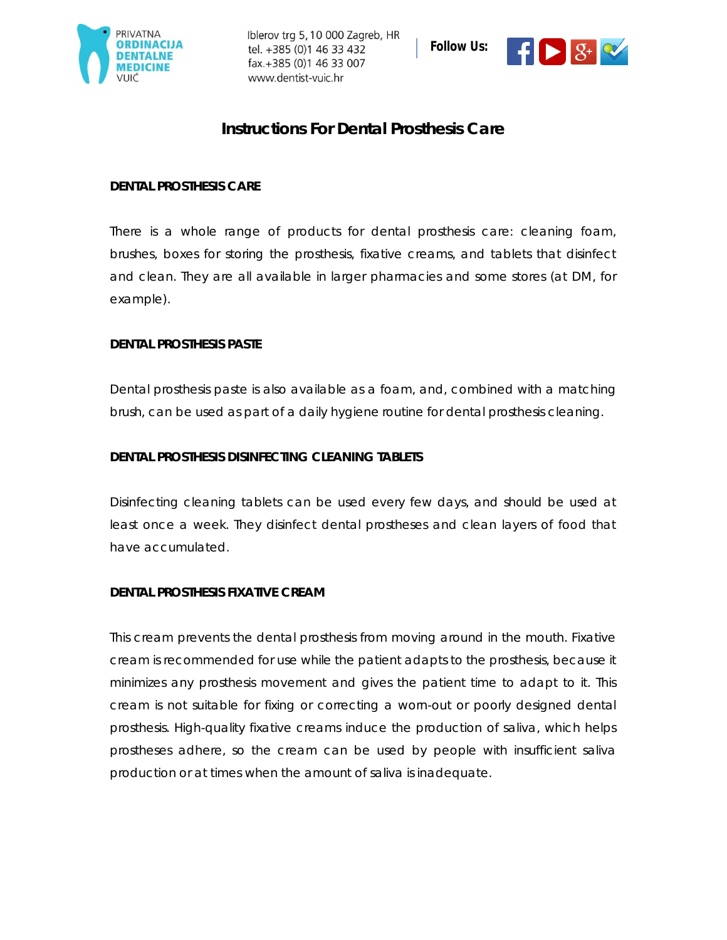

Iblerov trg 5, 10 000 Zagreb, HR tel. +385 (0)1 46 33 432 fax.+385 (0)1 46 33 007 www.dentist-vuic.hr



# **Instructions For Dental Prosthesis Care**

### **DENTAL PROSTHESIS CARE**

There is a whole range of products for dental prosthesis care: cleaning foam, brushes, boxes for storing the prosthesis, fixative creams, and tablets that disinfect and clean. They are all available in larger pharmacies and some stores (at DM, for example).

### **DENTAL PROSTHESIS PASTE**

Dental prosthesis paste is also available as a foam, and, combined with a matching brush, can be used as part of a daily hygiene routine for dental prosthesis cleaning.

### **DENTAL PROSTHESIS DISINFECTING CLEANING TABLETS**

Disinfecting cleaning tablets can be used every few days, and should be used at least once a week. They disinfect dental prostheses and clean layers of food that have accumulated.

#### **DENTAL PROSTHESIS FIXATIVE CREAM**

This cream prevents the dental prosthesis from moving around in the mouth. Fixative cream is recommended for use while the patient adapts to the prosthesis, because it minimizes any prosthesis movement and gives the patient time to adapt to it. This cream is not suitable for fixing or correcting a worn-out or poorly designed dental prosthesis. High-quality fixative creams induce the production of saliva, which helps prostheses adhere, so the cream can be used by people with insufficient saliva production or at times when the amount of saliva is inadequate.